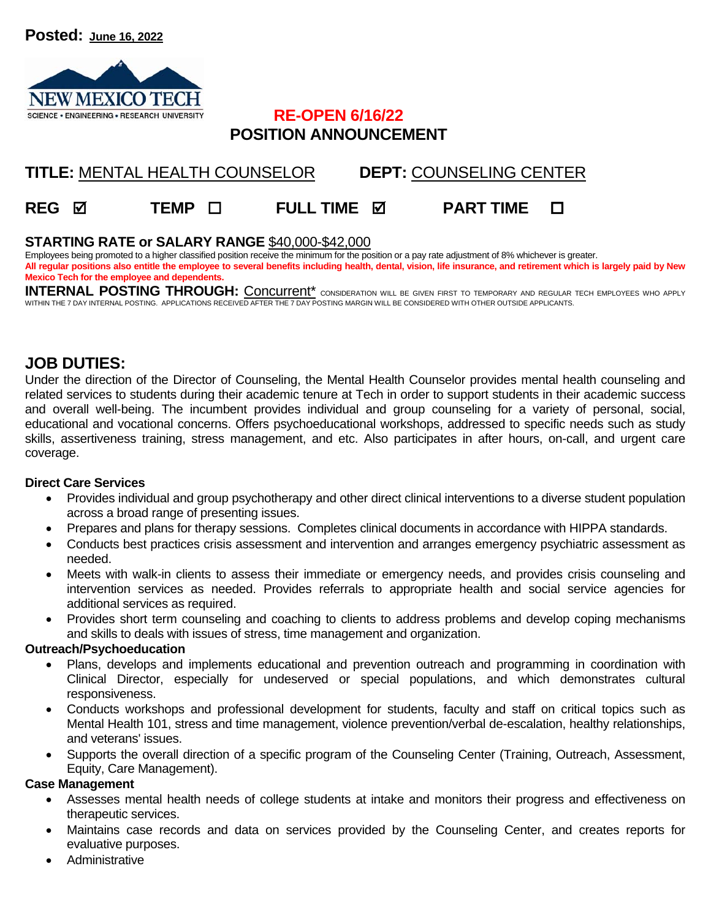

### **RE-OPEN 6/16/22 POSITION ANNOUNCEMENT**

# **TITLE:** MENTAL HEALTH COUNSELOR **DEPT:** COUNSELING CENTER

## **REG TEMP FULL TIME PART TIME**

### **STARTING RATE or SALARY RANGE** \$40,000-\$42,000

Employees being promoted to a higher classified position receive the minimum for the position or a pay rate adjustment of 8% whichever is greater. **All regular positions also entitle the employee to several benefits including health, dental, vision, life insurance, and retirement which is largely paid by New Mexico Tech for the employee and dependents.** 

INTERNAL POSTING THROUGH: Concurrent<sup>\*</sup> consideration will be given first to temporary and regular tech employees who apply WITHIN THE 7 DAY INTERNAL POSTING. APPLICATIONS RECEIVED AFTER THE 7 DAY POSTING MARGIN WILL BE CONSIDERED WITH OTHER OUTSIDE APPLICANTS.

### **JOB DUTIES:**

Under the direction of the Director of Counseling, the Mental Health Counselor provides mental health counseling and related services to students during their academic tenure at Tech in order to support students in their academic success and overall well-being. The incumbent provides individual and group counseling for a variety of personal, social, educational and vocational concerns. Offers psychoeducational workshops, addressed to specific needs such as study skills, assertiveness training, stress management, and etc. Also participates in after hours, on-call, and urgent care coverage.

#### **Direct Care Services**

- Provides individual and group psychotherapy and other direct clinical interventions to a diverse student population across a broad range of presenting issues.
- Prepares and plans for therapy sessions. Completes clinical documents in accordance with HIPPA standards.
- Conducts best practices crisis assessment and intervention and arranges emergency psychiatric assessment as needed.
- Meets with walk-in clients to assess their immediate or emergency needs, and provides crisis counseling and intervention services as needed. Provides referrals to appropriate health and social service agencies for additional services as required.
- Provides short term counseling and coaching to clients to address problems and develop coping mechanisms and skills to deals with issues of stress, time management and organization.

### **Outreach/Psychoeducation**

- Plans, develops and implements educational and prevention outreach and programming in coordination with Clinical Director, especially for undeserved or special populations, and which demonstrates cultural responsiveness.
- Conducts workshops and professional development for students, faculty and staff on critical topics such as Mental Health 101, stress and time management, violence prevention/verbal de-escalation, healthy relationships, and veterans' issues.
- Supports the overall direction of a specific program of the Counseling Center (Training, Outreach, Assessment, Equity, Care Management).

#### **Case Management**

- Assesses mental health needs of college students at intake and monitors their progress and effectiveness on therapeutic services.
- Maintains case records and data on services provided by the Counseling Center, and creates reports for evaluative purposes.
- Administrative